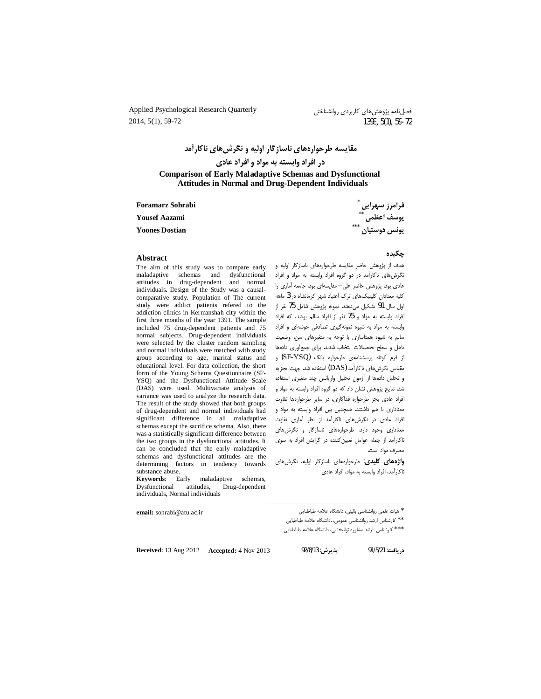Applied Psychological Research Quarterly 2014, 5(1), 59-72

مقایسه طرحوارههای ناسازگار اولیه و نگرش های ناکارآمد در افراد وابسته به مواد و افراد عادی **Comparison of Early Maladaptive Schemas and Dysfunctional Attitudes in Normal and Drug-Dependent Individuals** 

**Foramarz Sohrabi** 

**Yousef Aazami** 

**Yoones Dostian** 

فرامرز سهرابی <sup>\*</sup><br>یوسف اعظمی <sup>\*\*</sup><br>یونس دوستیان <sup>\*\*\*</sup>

#### Abstract

The aim of this study was to compare early maladaptive schemas and dysfunctional attitudes in drug-dependent and normal individuals. Design of the Study was a causalcomparative study. Population of The current study were addict patients refered to the addiction clinics in Kermanshah city within the first three months of the year 1391. The sample included 75 drug-dependent patients and 75 normal subjects. Drug-dependent individuals were selected by the cluster random sampling and normal individuals were matched with study group according to age, marital status and educational level. For data collection, the short form of the Young Schema Questionnaire (SF-YSO) and the Dysfunctional Attitude Scale (DAS) were used. Multivariate analysis of variance was used to analyze the research data. The result of the study showed that both groups of drug-dependent and normal individuals had significant difference in all maladaptive schemas except the sacrifice schema. Also, there was a statistically significant difference between the two groups in the dysfunctional attitudes. It can be concluded that the early maladaptive schemas and dysfunctional attitudes are the determining factors in tendency towards substance abuse.

Keywords: Early maladaptive schemas, Dysfunctional attitudes, Drug-dependent individuals, Normal individuals

email: sohrabi@atu.ac.ir

#### جكىدە

هدف از پژوهش حاضر مقایسه طرحوارههای ناسازگار اولیه و نگرش های ناکارآمد در دو گروه افراد وابسته به مواد و افراد عادی بود. پژوهش حاضر علی- مقایسهای بود. جامعه آماری را کلیه معتادان کلینیکهای ترک اعتیاد شهر کرمانشاه در 3 ماهه اول سال 91 تشكيل مى دهند. نمونه پژوهش شامل 75 نفر از افراد وابسته به مواد و 75 نفر از افراد سالم بودند، كه افراد وابسته به مواد به شیوه نمونهگیری تصادفی خوشهای و افراد سالم به شیوه همتاسازی با توجه به متغیرهای سن، وضعیت تاهل و سطح تحصیلات انتخاب شدند. برای جمع آوری دادهها از فرم کوتاه پرسشنامهی طرحواره یانگ (SF-YSQ) و مقیاس نگرش های ناکارآمد (DAS) استفاده شد. جهت تجزیه و تحليل دادهها از آزمون تحليل واريانس چند متغيرى استفاده شد. نتایج پژوهش نشان داد که دو گروه افراد وابسته به مواد و افراد عادى بجز طرحواره فداكارى، در ساير طرحوارهها تفاوت معناداری با هم داشتند. همچنین بین افراد وابسته به مواد و افراد عادی در نگرشهای ناکارآمد از نظر آماری تفاوت معناداری وجود دارد. طرحوارههای ناسازگار و نگرشهای ناکارآمد از جمله عوامل تعیین کننده در گرایش افراد به سوی مصرف مواد است.

**واژههای کلیدی**: طرحوارههای ناسازگار اولیه، نگرشهای ناكارآمد، افراد وابسته به مواد، افراد عادی

\* هيات علمي روانشناسي باليني، دانشگاه علامه طباطبايي

\*\* كارشناس ارشد روانشناسي عمومي، .دانشگاه علامه طباطبايي

\*\*\* كارشناس ارشد مشاوره توانبخشي، دانشگاه علامه طباطبايي

Received: 13 Aug 2012 Accepted: 4 Nov 2013

دريافت: 91/5/21

پذيرش: 92/8/13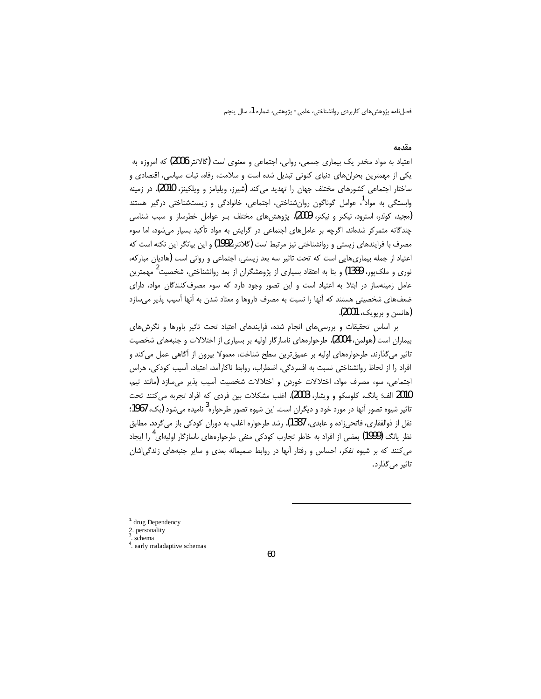فصلنامه پژوهشهای کاربردی روانشناختی، علمی- پژوهشی، شماره 1، سال پنجم

#### مقدمه

اعتیاد به مواد مخدر یک بیماری جسمی، روانی، اجتماعی و معنوی است (گالانتر،2006) که امروزه به یکی از مهمترین بحرانهای دنیای کنونی تبدیل شده است و سلامت، رفاه، ثبات سیاسی، اقتصادی و ساختار اجتماعی کشورهای مختلف جهان را تهدید می کند (شیرز، ویلیامز و ویلکینز، 2010). در زمینه وابستگی به مواد<sup>ا</sup>، عوامل گوناگون روانِشناختی، اجتماعی، خانوادگی و زیستشناختی درگیر هستند (مجید، کولدر، استرود، نیکتر و نیکتر، 2009). پژوهش های مختلف بـر عوامل خطرساز و سبب شناسی چندگانه متمرکز شدهاند. اگرچه بر عاملهای اجتماعی در گرایش به مواد تأکید بسیار می شود، اما سوء مصرف با فرایندهای زیستی و روانشناختی نیز مرتبط است (گلانتر،1992) و این بیانگر این نکته است که اعتياد از جمله بيماري هايي است كه تحت تاثير سه بعد زيستي، اجتماعي و رواني است (هاديان مباركه، نوری و ملکپور، 1389) و بنا به اعتقاد بسیاری از پژوهشگران از بعد روانشناختی، شخصیت<sup>2</sup> مهمترین عامل زمینهساز در ابتلا به اعتیاد است و این تصور وجود دارد که سوء مصرف کنندگان مواد، دارای ضعفهای شخصیتی هستند که آنها را نسبت به مصرف داروها و معتاد شدن به آنها آسیب پذیر میسازد (هانسن و پريويک، 2001).

بر اساس تحقیقات و بررسیهای انجام شده، فرایندهای اعتیاد تحت تاثیر باورها و نگرش های بیماران است (هولمن، 2004). طرحوارههای ناسازگار اولیه بر بسیاری از اختلالات و جنبههای شخصیت تاثیر میگذارند. طرحوارههای اولیه بر عمیقترین سطح شناخت، معمولا بیرون از آگاهی عمل میکند و افراد را از لحاظ روانشناختی نسبت به افسردگی، اضطراب، روابط ناکارآمد، اعتیاد، آسیب کودکی، هراس اجتماعی، سوء مصرف مواد، اختلالات خوردن و اختلالات شخصیت آسیب پذیر می سازد (مانند تیم، 2010 الف؛ پانگ، کلوسکو و ویشار، 2003). اغلب مشکلات بین فردی که افراد تجربه می کنند تحت تاثیر شیوه تصور اَنها در مورد خود و دیگران است. این شیوه تصور طرحواره<sup>3</sup> نامیده می شود (یک، 1967؛ نقل از ذوالفقاري، فاتحي;اده و عابدي، 1387). رشد طرحواره اغلب به دوران كودكي باز مي گردد. مطابق نظر یانگ (1999) بعضی از افراد به خاطر تجارب کودکی منفی طرحوارههای ناسازگار اولیهای<sup>4</sup> را ایجاد می کنند که بر شیوه تفکر، احساس و رفتار آنها در روابط صمیمانه بعدی و سایر جنبههای زندگی اشان تاثیر میگذارد.

 $1$  drug Dependency

<sup>2.</sup> personality

schema

<sup>&</sup>lt;sup>4</sup>, early maladaptive schemas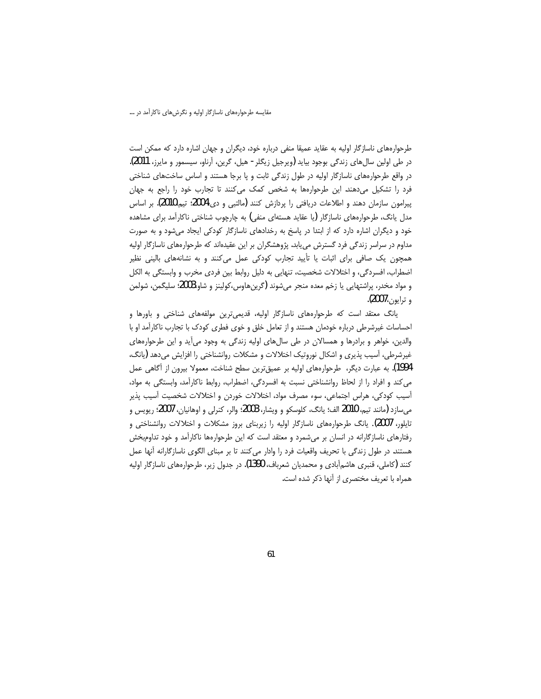طرحوارههای ناسازگار اولیه به عقاید عمیقا منفی درباره خود، دیگران و جهان اشاره دارد که ممکن است در طی اولین سالءای زندگی بوجود بیاید (ویرجیل زیگلر - هیل، گرین، آرناو، سیسمور و مایرز، 2011). در واقع طرحوارههای ناسازگار اولیه در طول زندگی ثابت و پا برجا هستند و اساس ساختهای شناختی فرد را تشكيل مى دهند. اين طرحوارهها به شخص كمك مى كنند تا تجارب خود را راجع به جهان پیرامون سازمان دهند و اطلاعات دریافتی را پردازش کنند (مالتبی و دی،2004؛ تیم،2010). بر اساس مدل یانگ، طرحوارههای ناسازگار (یا عقاید هستهای منفی) به چارچوب شناختی ناکارآمد برای مشاهده خود و دیگران اشاره دارد که از ابتدا در پاسخ به رخدادهای ناسازگار کودکی ایجاد میشود و به صورت مداوم در سراسر زندگی فرد گسترش می یابد. پژوهشگران بر این عقیدهاند که طرحوارههای ناسازگار اولیه همچون یک صافی برای اثبات یا تأیید تجارب کودکی عمل میکنند و به نشانههای بالینی نظیر اضطراب، افسردگی، و اختلالات شخصیت، تنهایی به دلیل روابط بین فردی مخرب و وابستگی به الکل و مواد مخدر، پراشتهایی یا زخم معده منجر میشوند (گرینهاوس،کولینز و شاو،2003؛ سلیگمن، شولمن و ترايون**، 2007).** 

یانگ معتقد است که طرحوارههای ناسازگار اولیه، قدیمیترین مولفههای شناختی و باورها و احساسات غیرشرطی درباره خودمان هستند و از تعامل خلق و خوی فطری کودک با تجارب ناکارآمد او با والدین، خواهر و برادرها و همسالان در طی سال های اولیه زندگی به وجود می آید و این طرحوارههای غیرشرطی، آسیب پذیری و اشکال نوروتیک اختلالات و مشکلات روانشناختی را افزایش میدهد (بانگ، 1994). به عبارت دیگر، طرحوارههای اولیه بر عمیقترین سطح شناخت، معمولا بیرون از أگاهی عمل می کند و افراد را از لحاظ روانشناختی نسبت به افسردگی، اضطراب، روابط ناکارآمد، وابستگی به مواد، آسیب کودکی، هراس اجتماعی، سوء مصرف مواد، اختلالات خوردن و اختلالات شخصیت آسیب پذیر میسازد (مانند تیم، 2010 الف؛ یانگ، کلوسکو و ویشار، 2003؛ والر، کنرلی و اوهانیان، 2007؛ ریویس و تایلور، 2007). یانگ طرحوارههای ناسازگار اولیه را زیربنای بروز مشکلات و اختلالات روانشناختی و رفتارهای ناسازگارانه در انسان بر میشمرد و معتقد است که این طرحوارهها ناکارآمد و خود تداومبخش هستند. در طول زندگی با تحریف واقعیات فرد را وادار می کنند تا بر مبنای الگوی ناسازگارانه آنها عمل کنند (کاملی، قنبری هاشمآبادی و محمدیان شعرباف، 1390). در جدول زیر، طرحوارههای ناسازگار اولیه همراه با تعریف مختصری از آنها ذکر شده است.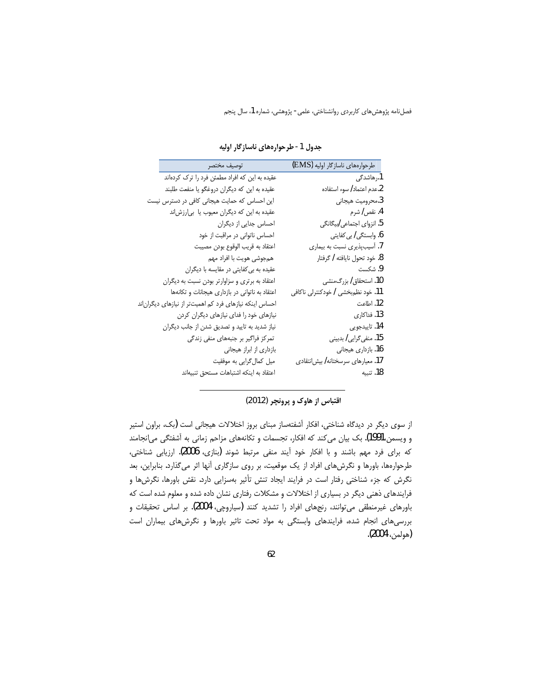فصلنامه پژوهشهای کاربردی روانشناختی، علمی- پژوهشی، شماره 1، سال پنجم

| طرحوارەھاي ناسازگار اوليه (EMS)     | توصيف مختصر                                             |
|-------------------------------------|---------------------------------------------------------|
| 1.رھاشدگی                           | عقیده به این که افراد مطمئن فرد را ترک کردهاند          |
| 2.عدم اعتماد/ سوء استفاده           | عقیده به این که دیگران دروغگو یا منفعت طلبند            |
| 3.محروميت هيجاني                    | این احساس که حمایت هیجانی کافی در دسترس نیست            |
| 4. نقص/ شرم                         | عقیده به این که دیگران معیوب یا بی رزش ند               |
| 5. انزوای اجتماعی <i>اب</i> یگانگی  | احساس جدایی از دیگران                                   |
| 6. وابستگ <i>ی   بی</i> کفایتی      | احساس ناتوانی در مراقبت از خود                          |
| 7. آسیبپذیری نسبت به بیماری         | اعتقاد به قريب الوقوع بودن مصيبت                        |
| 8. خود تحول نايافته / گرفتار        | همجوشي هويت با افراد مهم                                |
| 9. شكست                             | عقیده به بی کفایتی در مقایسه با دیگران                  |
| 10. استحقاق/ بزرگ،منشی              | اعتقاد به برتری و سزاوارتر بودن نسبت به دیگران          |
| 11. خود نظم،بخشی / خودکنترلی ناکافی | اعتقاد به ناتوانی در بازداری هیجانات و تکانهها          |
| 12. اطاعت                           | احساس اینکه نیازهای فرد کم اهمیتتر از نیازهای دیگران ند |
| 13. فداكاري                         | نیازهای خود را فدای نیازهای دیگران کردن                 |
| 14. تاييدجويي                       | نیاز شدید به تایید و تصدیق شدن از جانب دیگران           |
| 15. منفی <i>گ</i> رایی/ بدبینی      | تمرکز فراگیر بر جنبههای منفی زندگی                      |
| 16. بازداری هیجانی                  | بازداری از ابراز هیجانی                                 |
| 17. معیارهای سرسختانه/ بیش نتقادی   | میل کمالگرایی به موفقیت                                 |
| 18. تنسه                            | اعتقاد به اینکه اشتباهات مستحق تنبیهاند                 |

جدول 1- طرحوارههای ناسازگار اولیه

اقتباس از هاوک و پرونچر (2012)

از سوی دیگر در دیدگاه شناختی، افکار آشفتهساز مبنای بروز اختلالات هیجانی است (یک، براون استیر و ویسمن،1991). بک بیان میکند که افکار، تجسمات و تکانههای مزاحم زمانی به آشفتگی می|نجامند كه براي فرد مهم باشند و با افكار خود آيند منفي مرتبط شوند (بنازي، 2006). ارزيابي شناختي، طرحوارهها، باورها و نگرشهای افراد از یک موقعیت، بر روی سازگاری آنها اثر میگذارد. بنابراین، بعد نگرش که جزء شناختی رفتار است در فرایند ایجاد تنش تأثیر بهسزایی دارد. نقش باورها، نگرشها و فرایندهای ذهنی دیگر در بسیاری از اختلالات و مشکلات رفتاری نشان داده شده و معلوم شده است که باورهای غیرمنطقی می توانند، رنجهای افراد را تشدید کنند (سیاروچی، 2004). بر اساس تحقیقات و بررسیهای انجام شده، فرایندهای وابستگی به مواد تحت تاثیر باورها و نگرشهای بیماران است (هولمن، 2004).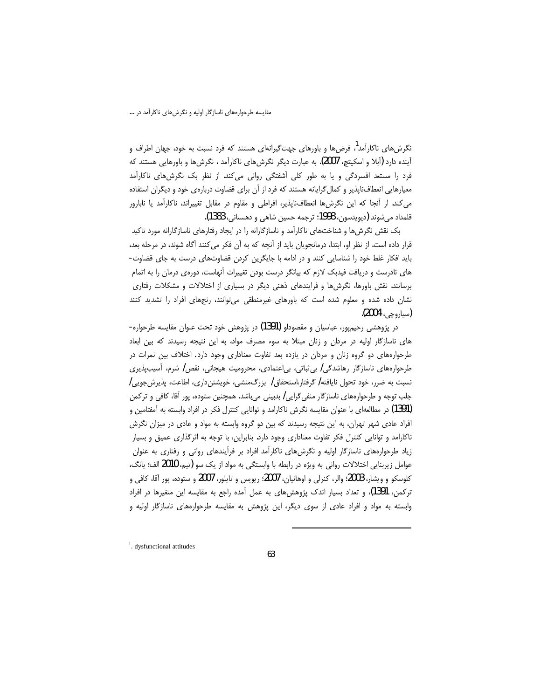نگرش های ناکارآمد<sup>1</sup>، فرض ها و باورهای جهتگیرانهای هستند که فرد نسبت به خود، جهان اطراف و آینده دارد (آبلا و اسکیتچ، 2007). به عبارت دیگر نگرش های ناکارآمد ، نگرش ها و باورهایی هستند که فرد را مستعد افسردگی و یا به طور کلی آشفتگی روانی میکند. از نظر بک نگرشهای ناکارآمد معیارهایی انعطاف ناپذیر و کمال گرایانه هستند که فرد از آن برای قضاوت دربارهی خود و دیگران استفاده می کند. از آنجا که این نگرشها انعطاف اپذیر، افراطی و مقاوم در مقابل تغییراند، ناکارآمد یا نابارور قلمداد ميشوند (ديويدسون، 1998؛ ترجمه حسين شاهي و دهستاني، 1383).

بک نقش نگرش ها و شناختهای ناکارآمد و ناسازگارانه را در ایجاد رفتارهای ناسازگارانه مورد تاکید قرار داده است. از نظر او، ابتدا، درمانجویان باید از آنچه که به آن فکر می کنند آگاه شوند، در مرحله بعد، باید افکار غلط خود را شناسایی کنند و در ادامه با جایگزین کردن قضاوتهای درست به جای قضاوت-های نادرست و دریافت فیدبک لازم که بیانگر درست بودن تغییرات آنهاست، دورهی درمان را به اتمام برسانند. نقش باورها، نگرشها و فرایندهای ذهنی دیگر در بسیاری از اختلالات و مشکلات رفتاری نشان داده شده و معلوم شده است که باورهای غیرمنطقی می توانند، رنجهای افراد را تشدید کنند (سياروجي، 2004).

در پژوهشی رحیمپور، عباسیان و مقصودلو (1391) در پژوهش خود تحت عنوان مقایسه طرحواره-های ناسازگار اولیه در مردان و زنان مبتلا به سوء مصرف مواد، به این نتیجه رسیدند که بین ابعاد طرحوارههای دو گروه زنان و مردان در یازده بعد تفاوت معناداری وجود دارد. اختلاف بین نمرات در طرحوارههای ناسازگار رهاشدگی / بی ثباتی، بی|عتمادی، محرومیت هیجانی، نقص / شرم، آسیبپذیری نسبت به ضرر، خود تحول نایافته/ گرفتار،استحقاق/ بزرگ،منشی، خویشتنداری، اطاعت، پذیرش جویی/ جلب توجه و طرحوارههای ناسازگار منفی گرایی/ بدبینی میباشد. همچنین ستوده، پور آقا، کافی و ترکمن (1391) در مطالعهای با عنوان مقایسه نگرش ناکارامد و توانایی کنترل فکر در افراد وابسته به آمفتامین و افراد عادی شهر تهران، به این نتیجه رسیدند که بین دو گروه وابسته به مواد و عادی در میزان نگرش ناکارامد و توانایی کنترل فکر تفاوت معناداری وجود دارد. بنابراین، با توجه به اثرگذاری عمیق و بسیار زیاد طرحوارههای ناسازگار اولیه و نگرشهای ناکارآمد افراد بر فرآیندهای روانی و رفتاری به عنوان عوامل زیربنایی اختلالات روانی به ویژه در رابطه با وابستگی به مواد از یک سو (تیم، 2010 الف؛ یانگ، كلوسكو و ويشار، 2003؛ والر، كنرلي و اوهانيان، 2007؛ ريويس و تايلور، 2007 و ستوده، پور آقا، كافي و ترکمن، 1391)، و تعداد بسیار اندک پژوهشهای به عمل آمده راجع به مقایسه این متغیرها در افراد وابسته به مواد و افراد عادی از سوی دیگر، این پژوهش به مقایسه طرحوارههای ناسازگار اولیه و

<sup>&</sup>lt;sup>1</sup>. dysfunctional attitudes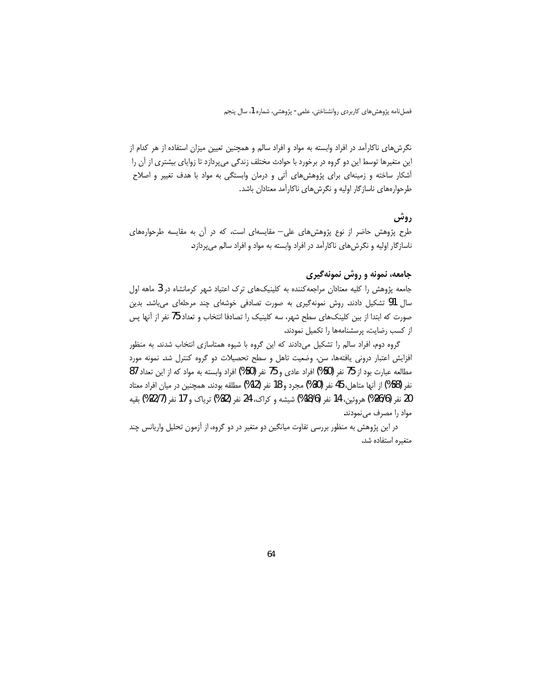فصلنامه پژوهش های کاربردی روانشناختی، علمی- پژوهشی، شماره 1، سال پنجم

نگرشهای ناکارآمد در افراد وابسته به مواد و افراد سالم و همچنین تعیین میزان استفاده از هر کدام از این متغیرها توسط این دو گروه در برخورد با حوادث مختلف زندگی میپردازد تا زوایای بیشتری از آن را آشکار ساخته و زمینهای برای پژوهشهای آتی و درمان وابستگی به مواد با هدف تغییر و اصلاح طرحوارههای ناسازگار اولیه و نگرشهای ناکارآمد معتادان باشد.

# روش

طرح پژوهش حاضر از نوع پژوهشهای علی— مقایسهای است، که در اَن به مقایسه طرحوارههای ناسازگار اولیه و نگرشهای ناکارآمد در افراد وابسته به مواد و افراد سالم میپردازد.

# جامعه، نمونه و روش نمونهگیری

جامعه پژوهش را کلیه معتادان مراجعهکننده به کلینیکهای ترک اعتیاد شهر کرمانشاه در 3 ماهه اول سال 91 تشکیل دادند. روش نمونهگیری به صورت تصادفی خوشهای چند مرحلهای میباشد. بدین صورت که ابتدا از بین کلینکهای سطح شهر، سه کلینیک را تصادفا انتخاب و تعداد 75 نفر از آنها پس از کسب رضایت، پرسشنامهها را تکمیل نمودند.

گروه دوم، افراد سالم را تشکیل میدادند که این گروه با شیوه همتاسازی انتخاب شدند. به منظور افزایش اعتبار درونی یافتهها، سن، وضعیت تاهل و سطح تحصیلات دو گروه کنترل شد. نمونه مورد مطالعه عبارت بود از 75 نفر (50%) افراد عادي و 75 نفر (50%) افراد وابسته به مواد كه از اين تعداد 87 نفر (58%) از آنها متاهل، 45 نفر (30%) مجرد و 18 نفر (12%) مطلقه بودند. همچنین در میان افراد معتاد 20 نفر (26/6%) هروئين، 14 نفر (18/6%) شيشه و كراك، 24 نفر (32%) ترياك و 17 نفر (22/7%) بقيه مواد را مصرف می نمودند.

در این پژوهش به منظور بررسی تفاوت میانگین دو متغیر در دو گروه، از آزمون تحلیل واریانس چند متغيره استفاده شد.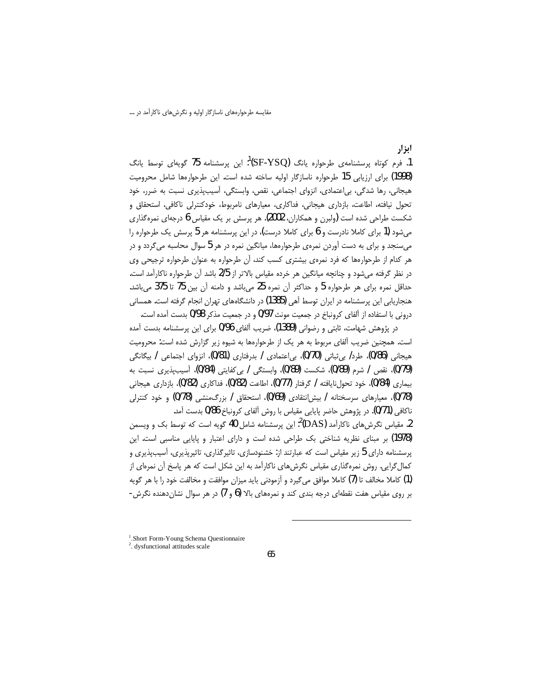مقایسه طرحوارههای ناسازگار اولیه و نگرشهای ناکارآمد در …

ابز ار

1. فرم کوتاه پرسشنامهی طرحواره یانگ (SF-YSQ)<sup>1</sup>: این پرسشنامه 75 گویهای توسط یانگ (1998) برای ارزیابی 15 طرحواره ناسازگار اولیه ساخته شده است. این طرحوارهها شامل محرومیت هیجانی، رها شدگی، بی اعتمادی، انزوای اجتماعی، نقص، وابستگی، آسیبپذیری نسبت به ضرر، خود تحول نیافته، اطاعت، بازداری هیجانی، فداکاری، معیارهای نامربوط، خودکنترلی ناکافی، استحقاق و شکست طراحی شده است (ولبرن و همکاران، 2002). هر پرسش بر یک مقیاس 6 درجهای نمرهگذاری میشود (1 برای کاملا نادرست و 6 برای کاملا درست)، در این پرسشنامه هر 5 پرسش یک طرحواره را میسنجد و برای به دست آوردن نمرهی طرحوارهها، میانگین نمره در هر 5 سوال محاسبه میگردد و در هر كدام از طرحوارهها كه فرد نمرهى بيشترى كسب كند، آن طرحواره به عنوان طرحواره ترجيحى وى در نظر گرفته میشود و چنانچه میانگین هر خرده مقیاس بالاتر از 2/5 باشد آن طرحواره ناکارآمد است. حداقل نمره برای هر طرحواره 5 و حداکثر آن نمره 25 می باشد و دامنه آن بین 75 تا 375 می باشد. هنجاریابی این پرسشنامه در ایران توسط آهی (1385) در دانشگاههای تهران انجام گرفته است. همسانی درونی با استفاده از آلفای کرونباخ در جمعیت مونث 0/97 و در جمعیت مذکر 0/98 بدست آمده است.

در پژوهش شهامت، ثابتی و رضوانی (1389)، ضریب آلفای 0/96 برای این پرسشنامه بدست آمده است. همچنین ضریب آلفای مربوط به هر یک از طرحوارهها به شیوه زیر گزارش شده است: محرومیت ھیجانی (0/86)، طرد/ بی ثباتی (0/70)، بی اعتمادی / بدرفتاری (0/81)، انزوای اجتماعی / بیگانگی (0/79)، نقص / شرم (0/89)، شكست (0/89)، وابستگی / بی كفایتی (0/84)، آسیبیذیری نسبت به بيماري (0/84)، خود تحولiايافته / گرفتار (0/77)، اطاعت (0/82)، فداكاري (0/82)، بازداري هيجاني (0/78)، معیارهای سرسختانه / بیش|نتقادی (0/69)، استحقاق / بزرگ،منشی (0/78) و خود کنترلی ناكافي (0/71). در پژوهش حاضر پايايي مقياس با روش آلفاي كرونباخ 0/86 بدست آمد.

2. مقیاس نگرش های ناکارآمد (DAS)<sup>2</sup>: این پرسشنامه شامل 40 گویه است که توسط بک و ویسمن (1978) بر مبنای نظریه شناختی بک طراحی شده است و دارای اعتبار و پایایی مناسبی است. این یرسشنامه دارای 5 زیر مقیاس است که عبارتند از: خشنودسازی، تاثیرگذاری، تاثیرپذیری، آسیبپذیری و کمال گرایی. روش نمرهگذاری مقیاس نگرشهای ناکارآمد به این شکل است که هر پاسخ آن نمرهای از (1) كاملا مخالف تا (7) كاملا موافق مي گيرد و آزمودني بايد ميزان موافقت و مخالفت خود را با هر گويه بر روی مقیاس هفت نقطهای درجه بندی کند و نمرههای بالا (6 و 7) در هر سوال نشاندهنده نگرش-

<sup>&</sup>lt;sup>1</sup>.Short Form-Young Schema Questionnaire

<sup>&</sup>lt;sup>2</sup>. dysfunctional attitudes scale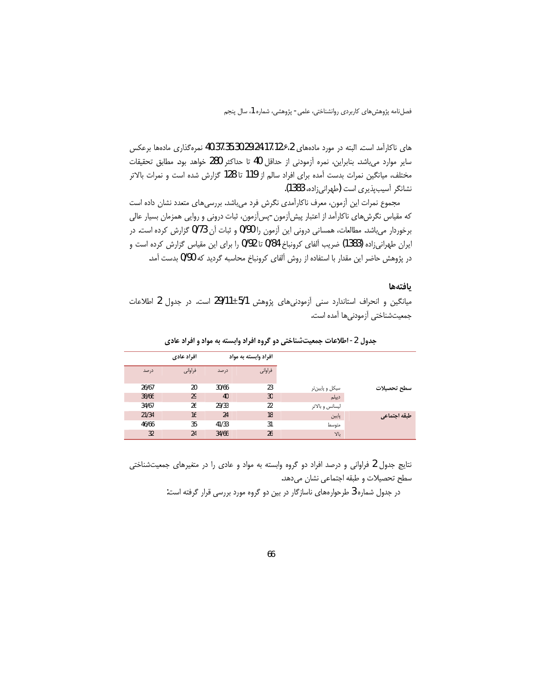فصلنامه پژوهشهای کاربردی روانشناختی، علمی- پژوهشی، شماره 1، سال پنجم

های ناکارآمد است. البته در مورد مادههای 28٫117،12٫۶،24،35،30،29 نمرهگذاری مادهها برعکس ساير موارد مي باشد. بنابراين، نمره أزمودني از حداقل 40 تا حداكثر 280 خواهد بود. مطابق تحقيقات مختلف، میانگین نمرات بدست آمده برای افراد سالم از 119 تا 128 گزارش شده است و نمرات بالاتر نشانگر آسیب پذیری است (طهرانی زاده، 1383).

مجموع نمرات این آزمون، معرف ناکارآمدی نگرش فرد میباشد. بررسیهای متعدد نشان داده است که مقیاس نگرشهای ناکارآمد از اعتبار پیش[زمون-پس[زمون، ثبات درونی و روایی همزمان بسیار عالی برخوردار میباشد. مطالعات، همسانی درونی این آزمون را 0/90 و ثبات آن 0/73 گزارش کرده است. در ایران طهرانی;اده (1383) ضریب آلفای کرونباخ 0/84 تا 0/92 را برای این مقیاس گزارش کرده است و در پژوهش حاضر این مقدار با استفاده از روش آلفای کرونباخ محاسبه گردید که 0/90 بدست آمد.

### يافتهها

میانگین و انحراف استاندارد سنی آزمودنیهای پژوهش 1/5±29/11 است. در جدول 2 اطلاعات جمعيتشناختي آزمودنيها آمده است.

| افراد عادی<br>افراد وابسته به مواد            |
|-----------------------------------------------|
| فراواني<br>فراواني<br>درصد<br>درصد            |
|                                               |
| 26/67<br>20<br>30/66<br>23<br>سیکل و پایینتر  |
| 38/66<br>29<br>40<br>30<br>ديپلم              |
| 34/67<br>26<br>29/33<br>22<br>ليسانس و بالاتر |
| 21/34<br>16<br>24<br>18<br>پايين              |
| 46/66<br>35<br>41/33<br>31<br>متوسط           |
| 32<br>34/66<br>26<br>24                       |

جدول 2- اطلاعات جمعیتشناختی دو گروه افراد وابسته به مواد و افراد عادی

نتایج جدول 2 فراوانی و درصد افراد دو گروه وابسته به مواد و عادی را در متغیرهای جمعیتشناختی سطح تحصيلات و طبقه اجتماعي نشان مي دهد.

در جدول شماره 3 طرحوارههای ناسازگار در بین دو گروه مورد بررسی قرار گرفته است: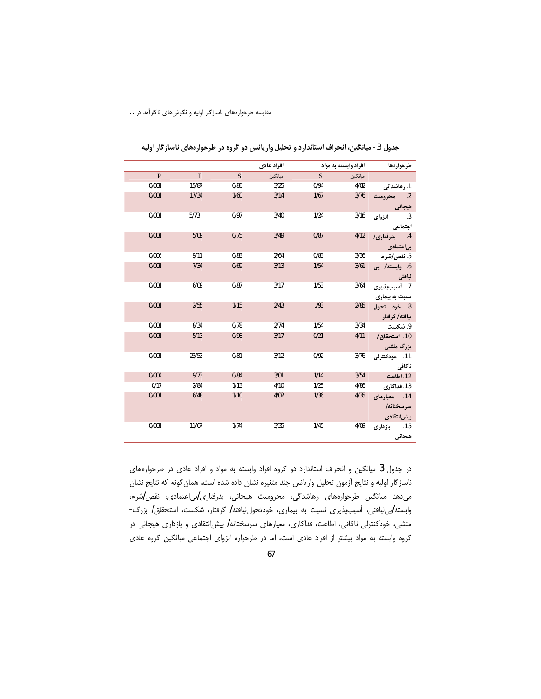|              | افراد عادى |      |         |      | افراد وابسته به مواد |                      |
|--------------|------------|------|---------|------|----------------------|----------------------|
| $\mathbf{P}$ | F          | S    | ميانگين | S    | ميانگين              |                      |
| 0/001        | 15/87      | 0/86 | 3/25    | 0/94 | 4/02                 | 1. رهاشدگی           |
| 0/001        | 17/34      | 1/60 | 3/14    | 1/67 | 3/76                 | 2. محروميت           |
|              |            |      |         |      |                      | هیجانی<br>3. انزوای  |
| 0/001        | 5/73       | 0/97 | 3/40    | 1/24 | 3/16                 |                      |
|              |            |      |         |      |                      | اجتماعي              |
| 0/001        | 5/09       | 0/75 | 3/49    | 0/87 | 4/12                 | 4. بدرفتاری/         |
|              |            |      |         |      |                      | بی عتمادی            |
| 0/006        | 9/11       | 0/83 | 2/64    | 0/83 | 3/36                 | 5. نق <i>ص ا</i> شرم |
| 0/001        | 7/34       | 0/69 | 3/13    | 1/54 | 3/61                 | 6. وابسته/ بى        |
|              |            |      |         |      |                      | لياقتى               |
| 0/001        | 6/09       | 0/87 | 3/17    | 1/53 | 3/64                 | 7. أسيبپذيري         |
|              |            |      |         |      |                      | نسبت به بیماری       |
| 0/001        | 2/55       | 1/15 | 2/43    | .193 | 2/85                 | 8. خود تحول          |
|              |            |      |         |      |                      | نيافته/ گرفتار       |
| 0/001        | 8/34       | 0/78 | 2/74    | 1/54 | 3/34                 | 9. شكست              |
| 0/001        | 5/13       | 0/98 | 3/17    | 0/21 | 4/11                 | 10. استحقاق/         |
|              |            |      |         |      |                      | <b>بزرگ منشی</b>     |
| 0/001        | 23/53      | 0/81 | 3/12    | 0/92 | 3/76                 | 11. خودكنترلى        |
|              |            |      |         |      |                      | ناكافى               |
| 0/004        | 9/73       | 0/84 | 3/01    | 1/14 | 3/54                 | 12. اطاعت            |
| 0/17         | 2/84       | 1/13 | 4/10    | 1/25 | 4/86                 | 13. فداكارى          |
| 0/001        | 6/48       | 1/10 | 4/02    | 1/36 | 4/35                 | 14. معيارهاي         |
|              |            |      |         |      |                      | سرسختانه/            |
|              |            |      |         |      |                      | بیش نتقادی           |
| 0/001        | 11/67      | 1/74 | 3/35    | 1/45 | 4/09                 | 15. بازداری          |
|              |            |      |         |      |                      | هيجانى               |

جدول 3- میانگین، انحراف استاندارد و تحلیل واریانس دو گروه در طرحوارههای ناسازگار اولیه

در جدول 3 میانگین و انحراف استاندارد دو گروه افراد وابسته به مواد و افراد عادی در طرحوارههای ناسازگار اولیه و نتایج آزمون تحلیل واریانس چند متغیره نشان داده شده است. همان گونه که نتایج نشان میدهد میانگین طرحوارههای رهاشدگی، محرومیت هیجانی، بدرفتاری/بی|عتمادی، نقص/شرم، وابسته ابی لیاقتی، آسیبپذیری نسبت به بیماری، خودتحول نیافته / گرفتار، شکست، استحقاق / بزرگ-منشی، خودکنترلی ناکافی، اطاعت، فداکاری، معیارهای سرسختانه/ بیش|نتقادی و بازداری هیجانی در گروه وابسته به مواد بیشتر از افراد عادی است، اما در طرحواره انزوای اجتماعی میانگین گروه عادی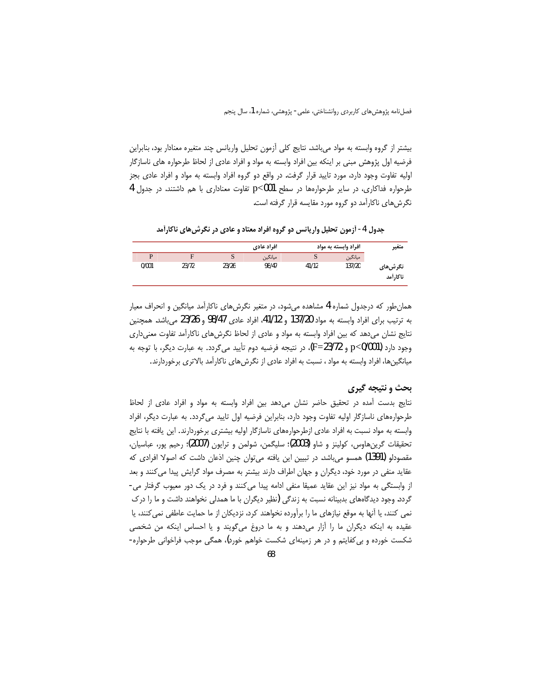بیشتر از گروه وابسته به مواد میباشد. نتایج کلی آزمون تحلیل واریانس چند متغیره معنادار بود، بنابراین فرضیه اول پژوهش مبنی بر اینکه بین افراد وابسته به مواد و افراد عادی از لحاظ طرحواره های ناسازگار اولیه تفاوت وجود دارد، مورد تایید قرار گرفت. در واقع دو گروه افراد وابسته به مواد و افراد عادی بجز طرحواره فداکاری، در سایر طرحوارهها در سطح p<001 تفاوت معناداری با هم داشتند. در جدول 4 نگرش های ناکارآمد دو گروه مورد مقایسه قرار گرفته است.

جدول 4- آزمون تحليل واريانس دو گروه افراد معتاد و عادي در نگرش هاي ناكارآمد

| متغير                | افراد وابسته به مواد |       | افراد عادي |       |       |       |  |
|----------------------|----------------------|-------|------------|-------|-------|-------|--|
|                      | ميانگين              | S     | ميانگين    | S     | F     | D     |  |
| نگرش@ای<br>ناكا, أمد | 137/20               | 41/12 | 98/47      | 23/26 | 23/72 | 0/001 |  |

همان طور که درجدول شماره 4 مشاهده می شود، در متغیر نگرش های ناکارآمد میانگین و انحراف معیار به ترتیب برای افراد وابسته به مواد 137/20 و 41/12، افراد عادی 98/47 و 23/26 می باشد. همچنین نتايج نشان مىدهد كه بين افراد وابسته به مواد و عادى از لحاظ نگرشهاى ناكارآمد تفاوت معنىدارى وجود دارد p<0/001) و F=23/72)، در نتيجه فرضيه دوم تأييد ميگردد. به عبارت ديگر، با توجه به میانگینها، افراد وابسته به مواد ، نسبت به افراد عادی از نگرشهای ناکارآمد بالاتری برخوردارند.

## بحث و نتیجه گیری

نتايج بدست آمده در تحقيق حاضر نشان مىدهد بين افراد وابسته به مواد و افراد عادى از لحاظ طرحوارههای ناسازگار اولیه تفاوت وجود دارد، بنابراین فرضیه اول تایید میگردد. به عبارت دیگر، افراد وابسته به مواد نسبت به افراد عادی ازطرحوارههای ناسازگار اولیه بیشتری برخوردارند. این یافته با نتایج تحقيقات گرينھاوس، كولينز و شاو (2003)؛ سليگمن، شولمن و ترايون (2007)؛ رحيم يور، عباسيان، مقصودلو (1391) همسو می،باشد. در تبیین این یافته می،توان چنین اذعان داشت که اصولا افرادی که عقاید منفی در مورد خود، دیگران و جهان اطراف دارند بیشتر به مصرف مواد گرایش پیدا می کنند و بعد از وابستگی به مواد نیز این عقاید عمیقا منفی ادامه پیدا می کنند و فرد در یک دور معیوب گرفتار می-گردد. وجود دیدگاههای بدبینانه نسبت به زندگی (نظیر دیگران با ما همدلی نخواهند داشت و ما را درک نمی کنند، یا آنها به موقع نیازهای ما را برآورده نخواهند کرد، نزدیکان از ما حمایت عاطفی نمی کنند، یا عقیده به اینکه دیگران ما را اَزار میدهند و به ما دروغ میگویند و یا احساس اینکه من شخصی شکست خورده و بی کفایتم و در هر زمینهای شکست خواهم خورد)، همگی موجب فراخوانی طرحواره-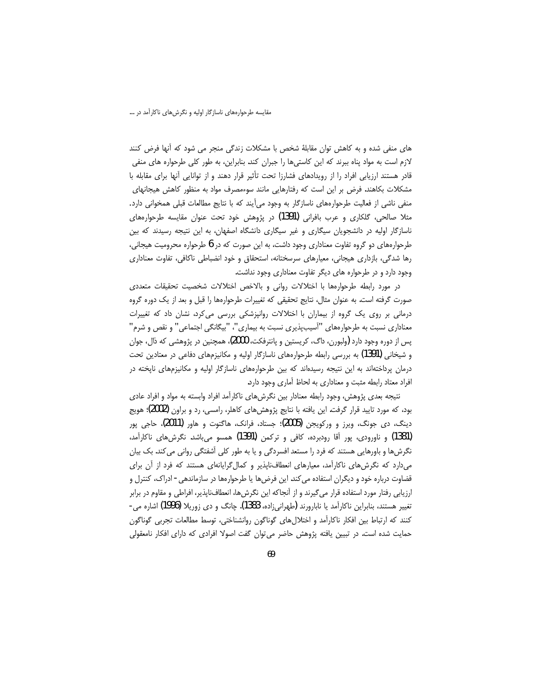های منفی شده و به کاهش توان مقابلهٔ شخص با مشکلات زندگی منجر می شود که آنها فرض کنند لازم است به مواد پناه ببرند که این کاستیها را جبران کند. بنابراین، به طور کلی طرحواره های منفی قادر هستند ارزیابی افراد را از رویدادهای فشارزا تحت تأثیر قرار دهند و از توانایی آنها برای مقابله با مشکلات بکاهند. فرض بر این است که رفتارهایی مانند سوءمصرف مواد به منظور کاهش هیجانهای منفی ناشی از فعالیت طرحوارههای ناسازگار به وجود میآیند که با نتایج مطالعات قبلی همخوانی دارد. مثلا صالحی، گلکاری و عرب بافرانی (1391) در پژوهش خود تحت عنوان مقایسه طرحوارههای ناسازگار اولیه در دانشجویان سیگاری و غیر سیگاری دانشگاه اصفهان، به این نتیجه رسیدند که بین طرحوارههای دو گروه تفاوت معناداری وجود داشت، به این صورت که در 6 طرحواره محرومیت هیجانی، رها شدگی، بازداری هیجانی، معیارهای سرسختانه، استحقاق و خود انضباطی ناکافی، تفاوت معناداری وجود دارد و در طرحواره های دیگر تفاوت معناداری وجود نداشت.

در مورد رابطه طرحوارهها با اختلالات رواني و بالاخص اختلالات شخصيت تحقيقات متعددى صورت گرفته است. به عنوان مثال، نتايج تحقيقي كه تغييرات طرحوارهها را قبل و بعد از يک دوره گروه درمانی بر روی یک گروه از بیماران با اختلالات روانپزشکی بررسی می¢رد، نشان داد که تغییرات معناداری نسبت به طرحوارههای "آسیبپذیری نسبت به بیماری"، "بیگانگی اجتماعی" و نقص و شرم" پس از دوره وجود دارد (ولبورن، داگ، کریستین و پانترفکت، 2000)، همچنین در پژوهشی که ذال، جوان و شیخانی (1391) به بررسی رابطه طرحوارههای ناسازگار اولیه و مکانیزمهای دفاعی در معتادین تحت درمان پرداختهاند به این نتیجه رسیدهاند که بین طرحوارههای ناسازگار اولیه و مکانیزمهای ناپخته در افراد معتاد رابطه مثبت و معناداري به لحاظ آماري وجود دارد.

نتیجه بعدی پژوهش، وجود رابطه معنادار بین نگرشهای ناکارآمد افراد وابسته به مواد و افراد عادی بود، که مورد تایید قرار گرفت. این یافته با نتایج پژوهش های کاهلر، رامسی، رد و براون (2002)؛ هویج دینگ، دی جونگ، ویرز و ورکویجن (2005)؛ جستاد، فرانک، هاگتوت و هاور (2011)، حاجی پور (1381) و ناورودي، يور آقا رودبرده، كافي و تركمن (1391) همسو مي باشد. نگرش هاي ناكارآمد، نگرشها و باورهایی هستند که فرد را مستعد افسردگی و یا به طور کلی آشفتگی روانی می کند. بک بیان میدارد که نگرشهای ناکارآمد، معیارهای انعطافناپذیر و کمال گرایانهای هستند که فرد از آن برای قضاوت درباره خود و دیگران استفاده می کند. این فرضها یا طرحوارهها در سازماندهی- ادراک، کنترل و ارزیابی رفتار مورد استفاده قرار میگیرند و از آنجاکه این نگرش ها، انعطافناپذیر، افراطی و مقاوم در برابر تغییر هستند، بنابراین ناکارآمد یا نابارورند (طهرانی;اده، 1383). چانگ و دی زوریلا (1996) اشاره می-كنند كه ارتباط بين افكار ناكارآمد و اختلال هاي گوناگون روانشناختي، توسط مطالعات تجربي گوناگون حمایت شده است. در تبیین یافته پژوهش حاضر می توان گفت اصولا افرادی که دارای افکار نامعقولی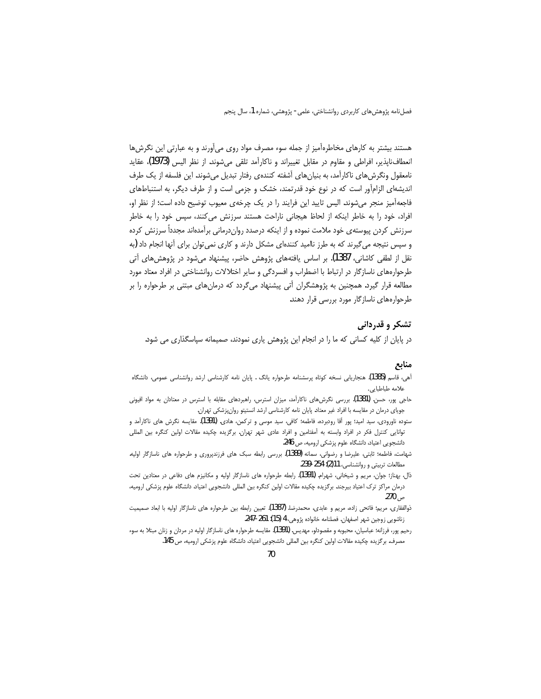فصلنامه پژوهش های کاربردی روانشناختی، علمی- پژوهشی، شماره 1، سال پنجم

هستند بیشتر به کارهای مخاطرهآمیز از جمله سوء مصرف مواد روی میآورند و به عبارتی این نگرش ها انعطافناپذیر، افراطی و مقاوم در مقابل تغییراند و ناکارآمد تلقی میشوند. از نظر الیس (1973)، عقاید نامعقول ونگرش های ناکارآمد، به بنیان های آشفته کنندهی رفتار تبدیل می شوند. این فلسفه از یک طرف اندیشهای الزامآور است که در نوع خود قدرتمند، خشک و جزمی است و از طرف دیگر، به استنباطهای فاجعه آمیز منجر میشوند. الیس تایید این فرایند را در یک چرخهی معیوب توضیح داده است؛ از نظر او، افراد، خود را به خاطر اینکه از لحاظ هیجانی ناراحت هستند سرزنش می کنند، سپس خود را به خاطر سرزنش کردن پیوسته ی خود ملامت نموده و از اینکه درصدد رواندرمانی برآمدهاند مجدداً سرزنش کرده و سپس نتیجه می گیرند که به طرز ناامید کنندهای مشکل دارند و کاری نمی توان برای آنها انجام داد (به نقل از لطفی کاشانی، 1387). بر اساس یافتههای پژوهش حاضر، پیشنهاد می،شود در پژوهش،های اّتی طرحوارههای ناسازگار در ارتباط با اضطراب و افسردگی و سایر اختلالات روانشناختی در افراد معتاد مورد مطالعه قرار گیرد. همچنین به پژوهشگران آتی پیشنهاد میگردد که درمانهای مبتنی بر طرحواره را بر طرحوارههای ناسازگار مورد بررسی قرار دهند.

## تشکر و قدردانی

در پایان از کلیه کسانی که ما را در انجام این پژوهش یاری نمودند، صمیمانه سپاسگذاری می شود.

## منابع

- آهي، قاسم (1385). هنجاريابي نسخه كوتاه پرسشنامه طرحواره يانگ . پايان نامه كارشناسي ارشد روانشناسي عمومي، دانشگاه علامه طباطبايي.
- حاجی پور، حسن. (1381). بررسی نگرشهای ناکارآمد، میزان استرس، راهبردهای مقابله با استرس در معتادان به مواد افیونی جویای درمان در مقایسه با افراد غیر معتاد. پایان نامه کارشناسی ارشد انستیتو روانپزشکی تهران.
- ستوده ناورودی، سید امید؛ پور آقا رودبرده، فاطمه؛ کافی، سید موسی و ترکمن، هادی. (1391). مقایسه نگرش های ناکارآمد و توانایی کنترل فکر در افراد وابسته به آمفتامین و افراد عادی شهر تهران. برگزیده چکیده مقالات اولین کنگره بین المللی دانشجویی اعتیاد، دانشگاه علوم پزشکی ارومیه، ص 246.
- شهامت، فاطمه؛ ثابتی، علیرضا و رضوانی، سمانه (1389). بررسی رابطه سبک های فرزندیروری و طرحواره های ناسازگار اولیه. مطالعات تربيتي و روانشناسي، 11(2): 234-239.
- ذال، بهناز؛ جوان، مریم و شیخانی، شهرام. (1391). رابطه طرحواره های ناسازگار اولیه و مکانیزم های دفاعی در معتادین تحت درمان مراكز ترك اعتياد بيرجند. برگزيده چكيده مقالات اولين كنگره بين المللي دانشجويي اعتياد، دانشگاه علوم پزشكي اروميه، ص 270.
- ذوالفقاري، مريم؛ فاتحى زاده، مريم و عابدي، محمدرضا. (1387). تعيين رابطه بين طرحواره هاي ناسازگار اوليه با ابعاد صميميت زناشويي زوجين شهر اصفهان. فصلنامه خانواده پژوهي، 4 (15): 261-247.
- رحیم پور، فرزانه؛ عباسیان، محبوبه و مقصودلو، مهدیس. (1391). مقایسه طرحواره های ناسازگار اولیه در مردان و زنان مبتلا به سوء مصرف. برگزیده چکیده مقالات اولین کنگره بین المللی دانشجویی اعتیاد، دانشگاه علوم پزشکی ارومیه، ص 145.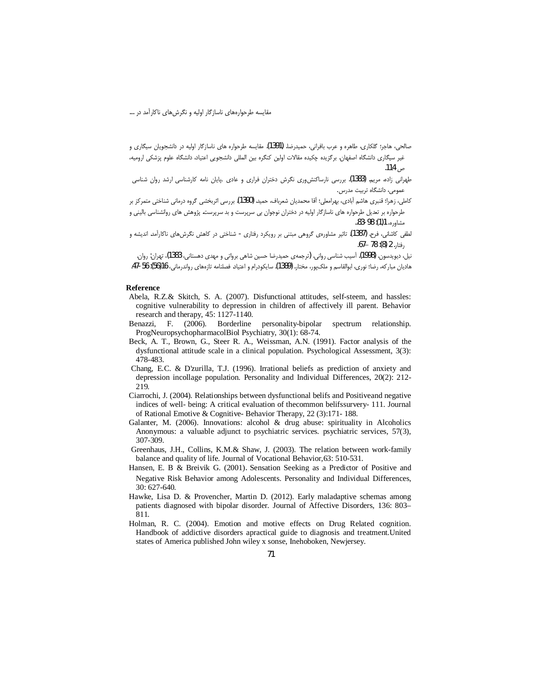- صالحی، هاجر؛ گلکاری، طاهره و عرب بافرانی، حمیدرضا. (1391). مقایسه طرحواره های ناسازگار اولیه در دانشجویان سیگاری و غیر سیگاری دانشگاه اصفهان. برگزیده چکیده مقالات اولین کنگره بین المللی دانشجویی اعتیاد، دانشگاه علوم پزشکی ارومیه، ص 114.
- طهرانی زاده مریم. (1383). بررسی نارساکنش وری نگرش دختران فراری و عادی .پایان نامه کارشناسی ارشد روان شناسی عمومی، دانشگاه تربیت مدرس.
- كاملي، زهرا؛ قنبري هاشم آبادي، بهرامعلي؛ أقا محمديان شعرباف، حميد. (1390). بررسي اثربخشي گروه درماني شناختي متمركز بر طرحواره بر تعدیل طرحواره های ناسازگار اولیه در دختران نوجوان بی سرپرست و بد سرپرست. پژوهش های روانشناسی بالینی و مشاوره، 1(1): 98-83..
- ۔<br>لطفی کاشانی، فرح. **(1387).** تاثیر مشاورەی گروهی مبتنی بر رویکرد رفتاری شناختی در کاهش نگرش@ای ناکارآمد. اندیشه و , فتا, . 2 (8): 78 –67.

نیل، دیویدسون. (1998). آسیب شناسی روانی. (ترجمهی حمیدرضا حسین شاهی برواتی و مهدی دهستانی، 1383)، تهران: روان. هاديان مباركه، رضا؛ نوري، ابوالقاسم و ملكپور، مختار. (1389). سايكودرام و اعتياد. فصلنامه تازههاي رواندرماني، 16(56): 56-47.

#### **Reference**

- Abela, R.Z.& Skitch, S. A. (2007). Disfunctional attitudes, self-steem, and hassles: cognitive vulnerability to depression in children of affectively ill parent. Behavior research and therapy, 45: 1127-1140.
- Benazzi, F. (2006). Borderline personality-bipolar spectrum relationship. ProgNeuropsychopharmacolBiol Psychiatry, 30(1): 68-74.
- Beck, A. T., Brown, G., Steer R. A., Weissman, A.N. (1991). Factor analysis of the dysfunctional attitude scale in a clinical population. Psychological Assessment, 3(3): 478-483.
- Chang, E.C. & D'zurilla, T.J. (1996). Irrational beliefs as prediction of anxiety and depression incollage population. Personality and Individual Differences, 20(2): 212-219
- Ciarrochi, J. (2004). Relationships between dysfunctional belifs and Positiveand negative indices of well- being: A critical evaluation of the common belifs survery- 111. Journal of Rational Emotive & Cognitive-Behavior Therapy,  $22(3)$ :171-188.
- Galanter, M. (2006). Innovations: alcohol & drug abuse: spirituality in Alcoholics Anonymous: a valuable adjunct to psychiatric services. psychiatric services, 57(3), 307-309.
- Greenhaus, J.H., Collins, K.M.& Shaw, J. (2003). The relation between work-family balance and quality of life. Journal of Vocational Behavior, 63: 510-531.
- Hansen, E. B & Breivik G. (2001). Sensation Seeking as a Predictor of Positive and Negative Risk Behavior among Adolescents. Personality and Individual Differences,  $30:627-640.$
- Hawke, Lisa D. & Provencher, Martin D. (2012). Early maladaptive schemas among patients diagnosed with bipolar disorder. Journal of Affective Disorders, 136: 803-811.
- Holman, R. C. (2004). Emotion and motive effects on Drug Related cognition. Handbook of addictive disorders apractical guide to diagnosis and treatment. United states of America published John wiley x sonse, Inehoboken, Newjersey.